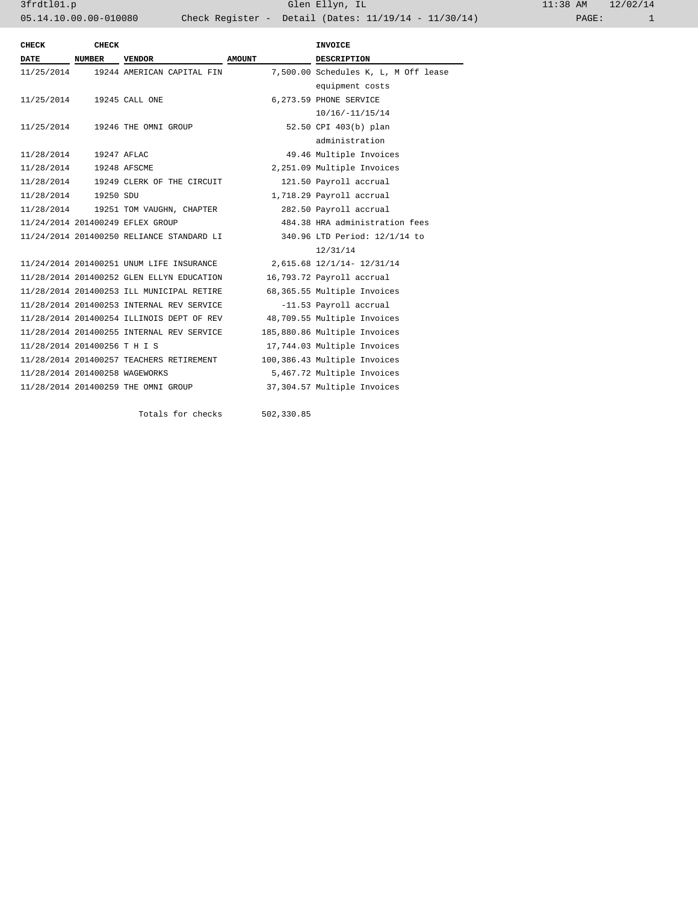| <b>CHECK</b>                   | <b>CHECK</b>  |                                           |               | <b>INVOICE</b>                       |  |
|--------------------------------|---------------|-------------------------------------------|---------------|--------------------------------------|--|
| <b>DATE</b>                    | <b>NUMBER</b> | <b>VENDOR</b>                             | <b>AMOUNT</b> | <b>DESCRIPTION</b>                   |  |
| 11/25/2014                     |               | 19244 AMERICAN CAPITAL FIN                |               | 7,500.00 Schedules K, L, M Off lease |  |
|                                |               |                                           |               | equipment costs                      |  |
| 11/25/2014                     |               | 19245 CALL ONE                            |               | 6,273.59 PHONE SERVICE               |  |
|                                |               |                                           |               | 10/16/-11/15/14                      |  |
| 11/25/2014                     |               | 19246 THE OMNI GROUP                      |               | 52.50 CPI 403(b) plan                |  |
|                                |               |                                           |               | administration                       |  |
| 11/28/2014                     |               | 19247 AFLAC                               |               | 49.46 Multiple Invoices              |  |
| 11/28/2014                     |               | 19248 AFSCME                              |               | 2,251.09 Multiple Invoices           |  |
|                                |               | 11/28/2014 19249 CLERK OF THE CIRCUIT     |               | 121.50 Payroll accrual               |  |
| 11/28/2014  19250 SDU          |               |                                           |               | 1,718.29 Payroll accrual             |  |
| 11/28/2014                     |               | 19251 TOM VAUGHN, CHAPTER                 |               | 282.50 Payroll accrual               |  |
|                                |               | 11/24/2014 201400249 EFLEX GROUP          |               | 484.38 HRA administration fees       |  |
|                                |               | 11/24/2014 201400250 RELIANCE STANDARD LI |               | 340.96 LTD Period: 12/1/14 to        |  |
|                                |               |                                           |               | 12/31/14                             |  |
|                                |               | 11/24/2014 201400251 UNUM LIFE INSURANCE  |               | 2,615.68 12/1/14- 12/31/14           |  |
|                                |               | 11/28/2014 201400252 GLEN ELLYN EDUCATION |               | 16,793.72 Payroll accrual            |  |
|                                |               | 11/28/2014 201400253 ILL MUNICIPAL RETIRE |               | 68,365.55 Multiple Invoices          |  |
|                                |               | 11/28/2014 201400253 INTERNAL REV SERVICE |               | -11.53 Payroll accrual               |  |
|                                |               | 11/28/2014 201400254 ILLINOIS DEPT OF REV |               | 48,709.55 Multiple Invoices          |  |
|                                |               | 11/28/2014 201400255 INTERNAL REV SERVICE |               | 185,880.86 Multiple Invoices         |  |
| 11/28/2014 201400256 T H I S   |               |                                           |               | 17,744.03 Multiple Invoices          |  |
|                                |               | 11/28/2014 201400257 TEACHERS RETIREMENT  |               | 100,386.43 Multiple Invoices         |  |
| 11/28/2014 201400258 WAGEWORKS |               |                                           |               | 5,467.72 Multiple Invoices           |  |
|                                |               | 11/28/2014 201400259 THE OMNI GROUP       |               | 37,304.57 Multiple Invoices          |  |
|                                |               |                                           |               |                                      |  |
|                                |               | Totals for checks                         | 502,330.85    |                                      |  |